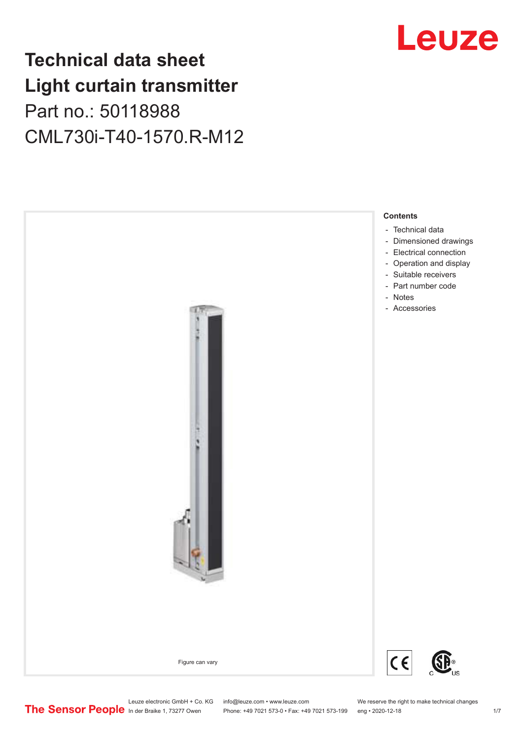# **Technical data sheet Light curtain transmitter** Part no.: 50118988 CML730i-T40-1570.R-M12



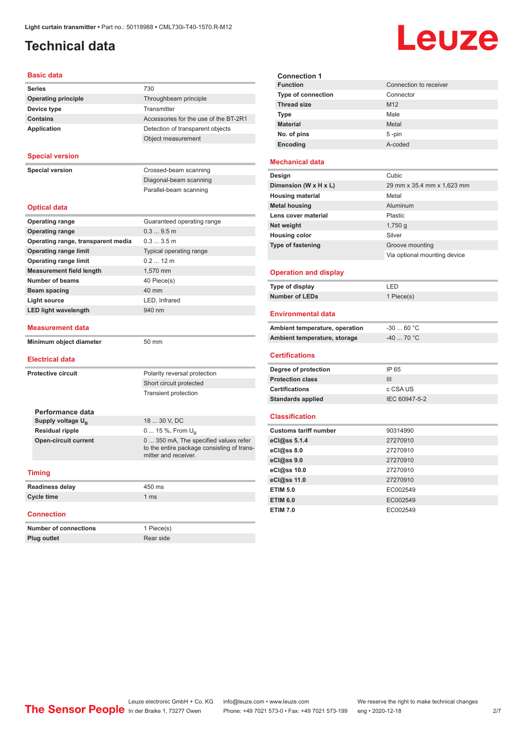# <span id="page-1-0"></span>**Technical data**

# Leuze

### **Basic data**

| <b>Series</b>              | 730                                   |
|----------------------------|---------------------------------------|
| <b>Operating principle</b> | Throughbeam principle                 |
| Device type                | Transmitter                           |
| <b>Contains</b>            | Accessories for the use of the BT-2R1 |
| Application                | Detection of transparent objects      |
|                            | Object measurement                    |

### **Special version**

**Special version** Crossed-beam scanning

Diagonal-beam scanning Parallel-beam scanning

### **Optical data**

| <b>Operating range</b>             | Guaranteed operating range                                                                                  |
|------------------------------------|-------------------------------------------------------------------------------------------------------------|
| <b>Operating range</b>             | 0.39.5m                                                                                                     |
| Operating range, transparent media | $0.33.5$ m                                                                                                  |
| <b>Operating range limit</b>       | Typical operating range                                                                                     |
| <b>Operating range limit</b>       | 02, 12m                                                                                                     |
| <b>Measurement field length</b>    | 1,570 mm                                                                                                    |
| Number of beams                    | 40 Piece(s)                                                                                                 |
| Beam spacing                       | 40 mm                                                                                                       |
| <b>Light source</b>                | LED, Infrared                                                                                               |
| <b>LED light wavelength</b>        | 940 nm                                                                                                      |
|                                    |                                                                                                             |
| <b>Measurement data</b>            |                                                                                                             |
| Minimum object diameter            | 50 mm                                                                                                       |
|                                    |                                                                                                             |
|                                    |                                                                                                             |
| <b>Electrical data</b>             |                                                                                                             |
| <b>Protective circuit</b>          | Polarity reversal protection                                                                                |
|                                    | Short circuit protected                                                                                     |
|                                    | <b>Transient protection</b>                                                                                 |
|                                    |                                                                                                             |
| Performance data                   |                                                                                                             |
| Supply voltage U <sub>B</sub>      | 18  30 V. DC                                                                                                |
| <b>Residual ripple</b>             | 0  15 %, From $U_{\rm B}$                                                                                   |
| <b>Open-circuit current</b>        | 0  350 mA, The specified values refer<br>to the entire package consisting of trans-<br>mitter and receiver. |

| <b>Readiness delay</b> | 450 ms          |
|------------------------|-----------------|
| Cycle time             | 1 <sub>ms</sub> |
|                        |                 |

### **Connection**

| <b>Number of connections</b> | 1 Piece(s) |
|------------------------------|------------|
| <b>Plug outlet</b>           | Rear side  |

| <b>Connection 1</b>       |                        |
|---------------------------|------------------------|
| <b>Function</b>           | Connection to receiver |
| <b>Type of connection</b> | Connector              |
| <b>Thread size</b>        | M <sub>12</sub>        |
| Type                      | Male                   |
| <b>Material</b>           | Metal                  |
| No. of pins               | $5 - pin$              |
| Encoding                  | A-coded                |
|                           |                        |

### **Mechanical data**

| Design                   | Cubic                        |
|--------------------------|------------------------------|
| Dimension (W x H x L)    | 29 mm x 35.4 mm x 1,623 mm   |
| <b>Housing material</b>  | Metal                        |
| <b>Metal housing</b>     | Aluminum                     |
| Lens cover material      | Plastic                      |
| Net weight               | $1,750$ q                    |
| <b>Housing color</b>     | Silver                       |
| <b>Type of fastening</b> | Groove mounting              |
|                          | Via optional mounting device |
|                          |                              |

### **Operation and display**

| Type of display | ' FD.      |
|-----------------|------------|
| Number of LEDs  | 1 Piece(s) |

### **Environmental data**

| Ambient temperature, operation | -30  60 °C |
|--------------------------------|------------|
| Ambient temperature, storage   | -40  70 °C |

### **Certifications**

| Degree of protection     | IP 65         |
|--------------------------|---------------|
| <b>Protection class</b>  | Ш             |
| <b>Certifications</b>    | c CSA US      |
| <b>Standards applied</b> | IEC 60947-5-2 |

#### **Classification**

| <b>Customs tariff number</b> | 90314990 |  |
|------------------------------|----------|--|
| eCl@ss 5.1.4                 | 27270910 |  |
| eCl@ss 8.0                   | 27270910 |  |
| eCl@ss 9.0                   | 27270910 |  |
| eCl@ss 10.0                  | 27270910 |  |
| eCl@ss 11.0                  | 27270910 |  |
| <b>ETIM 5.0</b>              | EC002549 |  |
| <b>ETIM 6.0</b>              | EC002549 |  |
| <b>ETIM 7.0</b>              | EC002549 |  |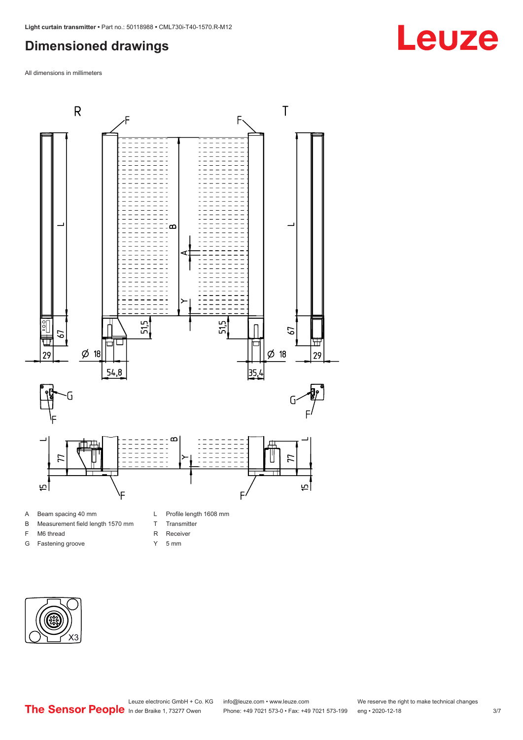# <span id="page-2-0"></span>**Dimensioned drawings**

All dimensions in millimeters



- A Beam spacing 40 mm
- B Measurement field length 1570 mm
- F M6 thread
- G Fastening groove
- L Profile length 1608 mm
- T Transmitter
- R Receiver
- Y 5 mm



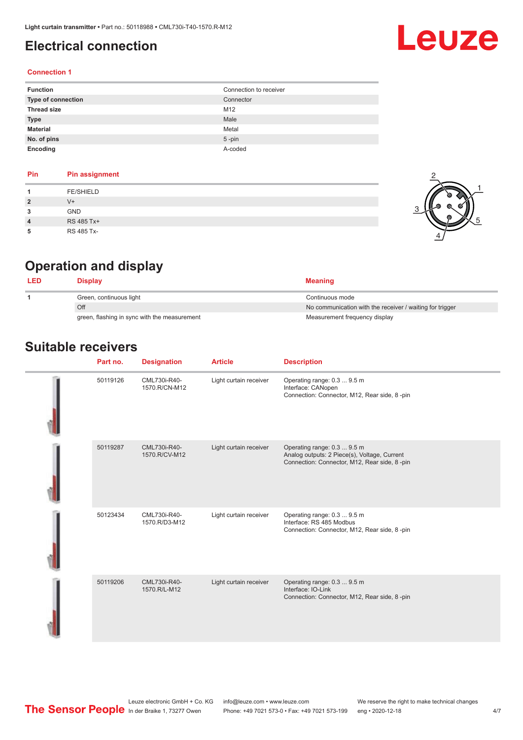# <span id="page-3-0"></span>**Electrical connection**

# Leuze

### **Connection 1**

| <b>Function</b>    | Connection to receiver |
|--------------------|------------------------|
| Type of connection | Connector              |
| <b>Thread size</b> | M12                    |
| <b>Type</b>        | Male                   |
| <b>Material</b>    | Metal                  |
| No. of pins        | $5 - pin$              |
| Encoding           | A-coded                |

### **Pin Pin assignment 1** FE/SHIELD **2** V+ **3** GND **4** RS 485 Tx+ **5** RS 485 Tx-



# **Operation and display**

| Display                                      | <b>Meaning</b>                                           |
|----------------------------------------------|----------------------------------------------------------|
| Green, continuous light                      | Continuous mode                                          |
| Off                                          | No communication with the receiver / waiting for trigger |
| green, flashing in sync with the measurement | Measurement frequency display                            |

## **Suitable receivers**

| Part no. | <b>Designation</b>            | <b>Article</b>         | <b>Description</b>                                                                                                          |
|----------|-------------------------------|------------------------|-----------------------------------------------------------------------------------------------------------------------------|
| 50119126 | CML730i-R40-<br>1570.R/CN-M12 | Light curtain receiver | Operating range: 0.3  9.5 m<br>Interface: CANopen<br>Connection: Connector, M12, Rear side, 8-pin                           |
| 50119287 | CML730i-R40-<br>1570.R/CV-M12 | Light curtain receiver | Operating range: 0.3  9.5 m<br>Analog outputs: 2 Piece(s), Voltage, Current<br>Connection: Connector, M12, Rear side, 8-pin |
| 50123434 | CML730i-R40-<br>1570.R/D3-M12 | Light curtain receiver | Operating range: 0.3  9.5 m<br>Interface: RS 485 Modbus<br>Connection: Connector, M12, Rear side, 8-pin                     |
| 50119206 | CML730i-R40-<br>1570.R/L-M12  | Light curtain receiver | Operating range: 0.3  9.5 m<br>Interface: IO-Link<br>Connection: Connector, M12, Rear side, 8-pin                           |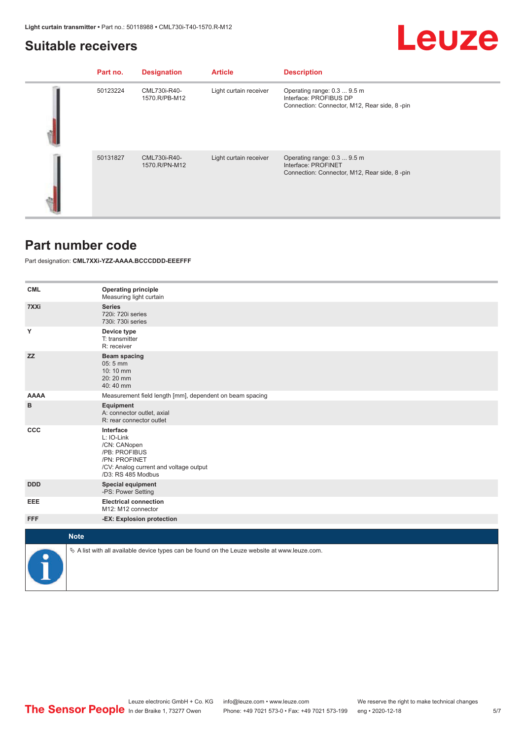## <span id="page-4-0"></span>**Suitable receivers**

# Leuze

| Part no. | <b>Designation</b>            | <b>Article</b>         | <b>Description</b>                                                                                    |
|----------|-------------------------------|------------------------|-------------------------------------------------------------------------------------------------------|
| 50123224 | CML730i-R40-<br>1570.R/PB-M12 | Light curtain receiver | Operating range: 0.3  9.5 m<br>Interface: PROFIBUS DP<br>Connection: Connector, M12, Rear side, 8-pin |
| 50131827 | CML730i-R40-<br>1570.R/PN-M12 | Light curtain receiver | Operating range: 0.3  9.5 m<br>Interface: PROFINET<br>Connection: Connector, M12, Rear side, 8-pin    |

## **Part number code**

Part designation: **CML7XXi-YZZ-AAAA.BCCCDDD-EEEFFF**

| <b>CML</b>  | <b>Operating principle</b><br>Measuring light curtain                                                                                     |
|-------------|-------------------------------------------------------------------------------------------------------------------------------------------|
| 7XXi        | <b>Series</b><br>720i: 720i series<br>730i: 730i series                                                                                   |
| Υ           | Device type<br>T: transmitter<br>R: receiver                                                                                              |
| <b>ZZ</b>   | <b>Beam spacing</b><br>05:5 mm<br>10:10 mm<br>20:20 mm<br>40:40 mm                                                                        |
| <b>AAAA</b> | Measurement field length [mm], dependent on beam spacing                                                                                  |
| в           | Equipment<br>A: connector outlet, axial<br>R: rear connector outlet                                                                       |
| CCC         | Interface<br>L: IO-Link<br>/CN: CANopen<br>/PB: PROFIBUS<br>/PN: PROFINET<br>/CV: Analog current and voltage output<br>/D3: RS 485 Modbus |
| <b>DDD</b>  | <b>Special equipment</b><br>-PS: Power Setting                                                                                            |
| EEE         | <b>Electrical connection</b><br>M12: M12 connector                                                                                        |
| <b>FFF</b>  | -EX: Explosion protection                                                                                                                 |
| <b>Note</b> |                                                                                                                                           |
|             |                                                                                                                                           |
|             | $\%$ A list with all available device types can be found on the Leuze website at www.leuze.com.                                           |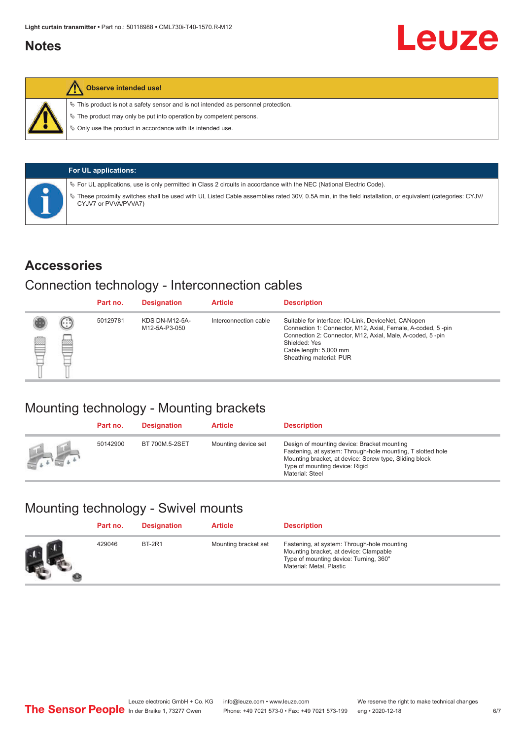## <span id="page-5-0"></span>**Notes**



### **Observe intended use!**

 $\%$  This product is not a safety sensor and is not intended as personnel protection.

 $\%$  The product may only be put into operation by competent persons.

 $\%$  Only use the product in accordance with its intended use.

| <b>For UL applications:</b>                                                                                                                                                       |
|-----------------------------------------------------------------------------------------------------------------------------------------------------------------------------------|
| $\%$ For UL applications, use is only permitted in Class 2 circuits in accordance with the NEC (National Electric Code).                                                          |
| V These proximity switches shall be used with UL Listed Cable assemblies rated 30V, 0.5A min, in the field installation, or equivalent (categories: CYJV/<br>CYJV7 or PVVA/PVVA7) |

### **Accessories**

# Connection technology - Interconnection cables

|   |        | Part no. | <b>Designation</b>                     | <b>Article</b>        | <b>Description</b>                                                                                                                                                                                                                                    |
|---|--------|----------|----------------------------------------|-----------------------|-------------------------------------------------------------------------------------------------------------------------------------------------------------------------------------------------------------------------------------------------------|
| Ø | ⊙<br>œ | 50129781 | <b>KDS DN-M12-5A-</b><br>M12-5A-P3-050 | Interconnection cable | Suitable for interface: IO-Link, DeviceNet, CANopen<br>Connection 1: Connector, M12, Axial, Female, A-coded, 5-pin<br>Connection 2: Connector, M12, Axial, Male, A-coded, 5-pin<br>Shielded: Yes<br>Cable length: 5,000 mm<br>Sheathing material: PUR |

# Mounting technology - Mounting brackets

|               | Part no. | <b>Designation</b> | <b>Article</b>      | <b>Description</b>                                                                                                                                                                                                        |
|---------------|----------|--------------------|---------------------|---------------------------------------------------------------------------------------------------------------------------------------------------------------------------------------------------------------------------|
| <b>Altres</b> | 50142900 | BT 700M.5-2SET     | Mounting device set | Design of mounting device: Bracket mounting<br>Fastening, at system: Through-hole mounting, T slotted hole<br>Mounting bracket, at device: Screw type, Sliding block<br>Type of mounting device: Rigid<br>Material: Steel |

# Mounting technology - Swivel mounts

| Part no. | <b>Designation</b> | <b>Article</b>       | <b>Description</b>                                                                                                                                          |
|----------|--------------------|----------------------|-------------------------------------------------------------------------------------------------------------------------------------------------------------|
| 429046   | <b>BT-2R1</b>      | Mounting bracket set | Fastening, at system: Through-hole mounting<br>Mounting bracket, at device: Clampable<br>Type of mounting device: Turning, 360°<br>Material: Metal, Plastic |

Leuze